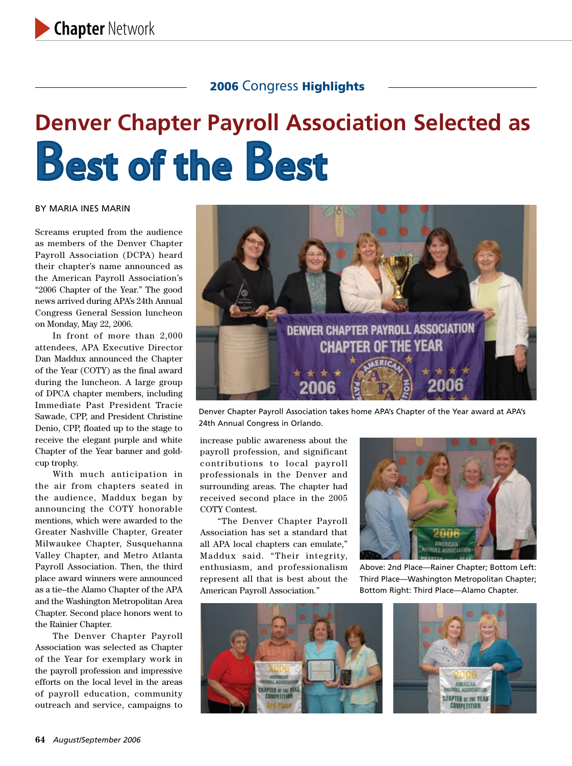# **Denver Chapter Payroll Association Selected as**  Best of the Best

#### By Maria Ines Marin

Screams erupted from the audience as members of the Denver Chapter Payroll Association (DCPA) heard their chapter's name announced as the American Payroll Association's "2006 Chapter of the Year." The good news arrived during APA's 24th Annual Congress General Session luncheon on Monday, May 22, 2006.

In front of more than 2,000 attendees, APA Executive Director Dan Maddux announced the Chapter of the Year (COTY) as the final award during the luncheon. A large group of DPCA chapter members, including Immediate Past President Tracie Sawade, CPP, and President Christine Denio, CPP, floated up to the stage to receive the elegant purple and white Chapter of the Year banner and goldcup trophy.

With much anticipation in the air from chapters seated in the audience, Maddux began by announcing the COTY honorable mentions, which were awarded to the Greater Nashville Chapter, Greater Milwaukee Chapter, Susquehanna Valley Chapter, and Metro Atlanta Payroll Association. Then, the third place award winners were announced as a tie--the Alamo Chapter of the APA and the Washington Metropolitan Area Chapter. Second place honors went to the Rainier Chapter.

The Denver Chapter Payroll Association was selected as Chapter of the Year for exemplary work in the payroll profession and impressive efforts on the local level in the areas of payroll education, community outreach and service, campaigns to



Denver Chapter Payroll Association takes home APA's Chapter of the Year award at APA's 24th Annual Congress in Orlando.

increase public awareness about the payroll profession, and significant contributions to local payroll professionals in the Denver and surrounding areas. The chapter had received second place in the 2005 COTY Contest.

"The Denver Chapter Payroll Association has set a standard that all APA local chapters can emulate," Maddux said. "Their integrity, enthusiasm, and professionalism represent all that is best about the American Payroll Association."



Above: 2nd Place—Rainer Chapter; Bottom Left: Third Place—Washington Metropolitan Chapter; Bottom Right: Third Place—Alamo Chapter.



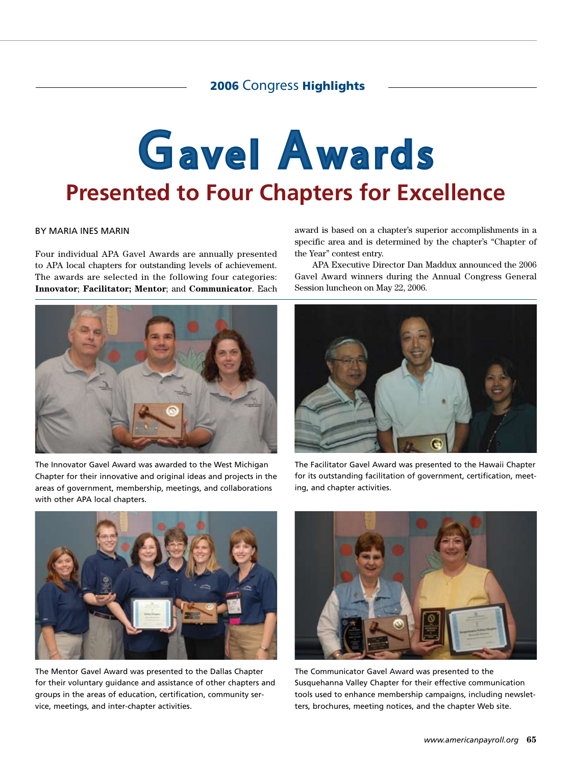# Gavel Awards **Presented to Four Chapters for Excellence**

#### By Maria Ines Marin

Four individual APA Gavel Awards are annually presented to APA local chapters for outstanding levels of achievement. The awards are selected in the following four categories: **Innovator**; **Facilitator; Mentor**; and **Communicator**. Each



The Innovator Gavel Award was awarded to the West Michigan Chapter for their innovative and original ideas and projects in the areas of government, membership, meetings, and collaborations with other APA local chapters.

award is based on a chapter's superior accomplishments in a specific area and is determined by the chapter's "Chapter of the Year" contest entry.

APA Executive Director Dan Maddux announced the 2006 Gavel Award winners during the Annual Congress General Session luncheon on May 22, 2006.



The Facilitator Gavel Award was presented to the Hawaii Chapter for its outstanding facilitation of government, certification, meeting, and chapter activities.



The Mentor Gavel Award was presented to the Dallas Chapter for their voluntary guidance and assistance of other chapters and groups in the areas of education, certification, community service, meetings, and inter-chapter activities.



The Communicator Gavel Award was presented to the Susquehanna Valley Chapter for their effective communication tools used to enhance membership campaigns, including newsletters, brochures, meeting notices, and the chapter Web site.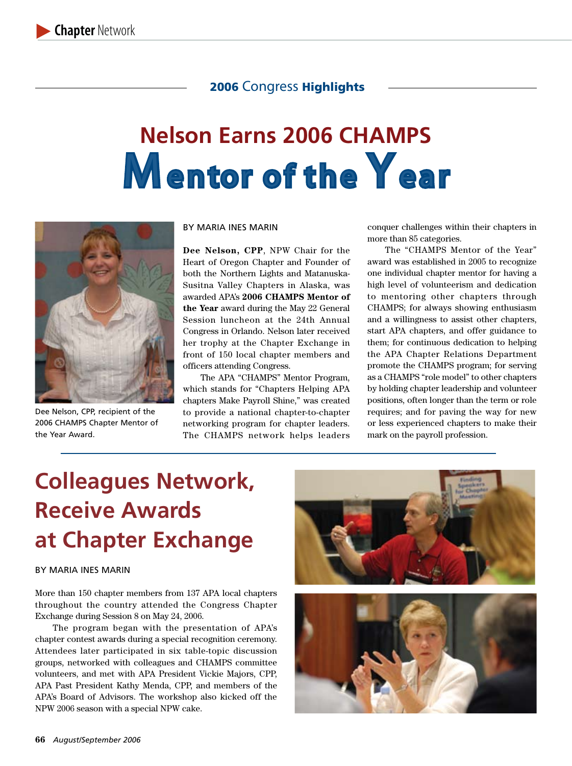## **Nelson Earns 2006 CHAMPS Mentor of the Year**



Dee Nelson, CPP, recipient of the 2006 CHAMPS Chapter Mentor of the Year Award.

#### By Maria Ines Marin

**Dee Nelson, CPP**, NPW Chair for the Heart of Oregon Chapter and Founder of both the Northern Lights and Matanuska-Susitna Valley Chapters in Alaska, was awarded APA's **2006 CHAMPS Mentor of the Year** award during the May 22 General Session luncheon at the 24th Annual Congress in Orlando. Nelson later received her trophy at the Chapter Exchange in front of 150 local chapter members and officers attending Congress.

The APA "CHAMPS" Mentor Program, which stands for "Chapters Helping APA chapters Make Payroll Shine," was created to provide a national chapter-to-chapter networking program for chapter leaders. The CHAMPS network helps leaders conquer challenges within their chapters in more than 85 categories.

The "CHAMPS Mentor of the Year" award was established in 2005 to recognize one individual chapter mentor for having a high level of volunteerism and dedication to mentoring other chapters through CHAMPS; for always showing enthusiasm and a willingness to assist other chapters, start APA chapters, and offer guidance to them; for continuous dedication to helping the APA Chapter Relations Department promote the CHAMPS program; for serving as a CHAMPS "role model" to other chapters by holding chapter leadership and volunteer positions, often longer than the term or role requires; and for paving the way for new or less experienced chapters to make their mark on the payroll profession.

## **Colleagues Network, Receive Awards at Chapter Exchange**

#### By Maria Ines Marin

More than 150 chapter members from 137 APA local chapters throughout the country attended the Congress Chapter Exchange during Session 8 on May 24, 2006.

The program began with the presentation of APA's chapter contest awards during a special recognition ceremony. Attendees later participated in six table-topic discussion groups, networked with colleagues and CHAMPS committee volunteers, and met with APA President Vickie Majors, CPP, APA Past President Kathy Menda, CPP, and members of the APA's Board of Advisors. The workshop also kicked off the NPW 2006 season with a special NPW cake.

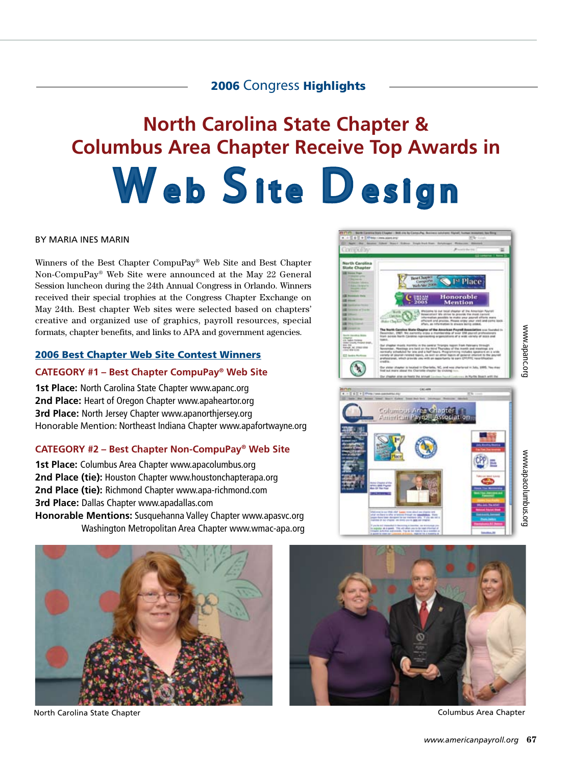## **North Carolina State Chapter & Columbus Area Chapter Receive Top Awards in** Web Site Design

#### By Maria Ines Marin

Winners of the Best Chapter CompuPay® Web Site and Best Chapter Non-CompuPay® Web Site were announced at the May 22 General Session luncheon during the 24th Annual Congress in Orlando. Winners received their special trophies at the Congress Chapter Exchange on May 24th. Best chapter Web sites were selected based on chapters' creative and organized use of graphics, payroll resources, special formats, chapter benefits, and links to APA and government agencies.

#### 2006 Best Chapter Web Site Contest Winners

#### **CATEGORY #1 – Best Chapter CompuPay® Web Site**

**1st Place:** North Carolina State Chapter www.apanc.org **2nd Place:** Heart of Oregon Chapter www.apaheartor.org **3rd Place:** North Jersey Chapter www.apanorthjersey.org Honorable Mention: Northeast Indiana Chapter www.apafortwayne.org

#### **CATEGORY #2 – Best Chapter Non-CompuPay® Web Site**

**1st Place:** Columbus Area Chapter www.apacolumbus.org **2nd Place (tie):** Houston Chapter www.houstonchapterapa.org **2nd Place (tie):** Richmond Chapter www.apa-richmond.com **3rd Place:** Dallas Chapter www.apadallas.com **Honorable Mentions:** Susquehanna Valley Chapter www.apasvc.org Washington Metropolitan Area Chapter www.wmac-apa.org





Columbus Area Criantes

North Carolina State Chapter Columbus Area Chapter

www.apanc.org

www.apanc.org

<sup>1st</sup> Place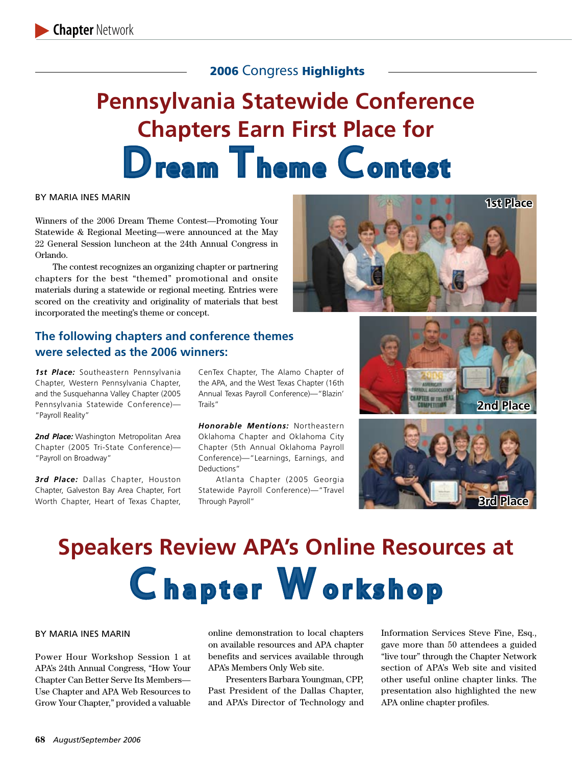## **Pennsylvania Statewide Conference Chapters Earn First Place for** Dream Theme Contest

#### By Maria Ines Marin

Winners of the 2006 Dream Theme Contest—Promoting Your Statewide & Regional Meeting—were announced at the May 22 General Session luncheon at the 24th Annual Congress in Orlando.

The contest recognizes an organizing chapter or partnering chapters for the best "themed" promotional and onsite materials during a statewide or regional meeting. Entries were scored on the creativity and originality of materials that best incorporated the meeting's theme or concept.

## **The following chapters and conference themes were selected as the 2006 winners:**

*1st Place:* Southeastern Pennsylvania Chapter, Western Pennsylvania Chapter, and the Susquehanna Valley Chapter (2005 Pennsylvania Statewide Conference)— "Payroll Reality"

2nd Place: Washington Metropolitan Area Chapter (2005 Tri-State Conference)— "Payroll on Broadway"

3rd Place: Dallas Chapter, Houston Chapter, Galveston Bay Area Chapter, Fort Worth Chapter, Heart of Texas Chapter, CenTex Chapter, The Alamo Chapter of the APA, and the West Texas Chapter (16th Annual Texas Payroll Conference)—"Blazin' Trails"

*Honorable Mentions:* Northeastern Oklahoma Chapter and Oklahoma City Chapter (5th Annual Oklahoma Payroll Conference)—"Learnings, Earnings, and Deductions"

Atlanta Chapter (2005 Georgia Statewide Payroll Conference)—"Travel Through Payroll"







## **Speakers Review APA's Online Resources at Chapter Workshop**

#### By Maria Ines Marin

Power Hour Workshop Session 1 at APA's 24th Annual Congress, "How Your Chapter Can Better Serve Its Members— Use Chapter and APA Web Resources to Grow Your Chapter," provided a valuable online demonstration to local chapters on available resources and APA chapter benefits and services available through APA's Members Only Web site.

Presenters Barbara Youngman, CPP, Past President of the Dallas Chapter, and APA's Director of Technology and Information Services Steve Fine, Esq., gave more than 50 attendees a guided "live tour" through the Chapter Network section of APA's Web site and visited other useful online chapter links. The presentation also highlighted the new APA online chapter profiles.